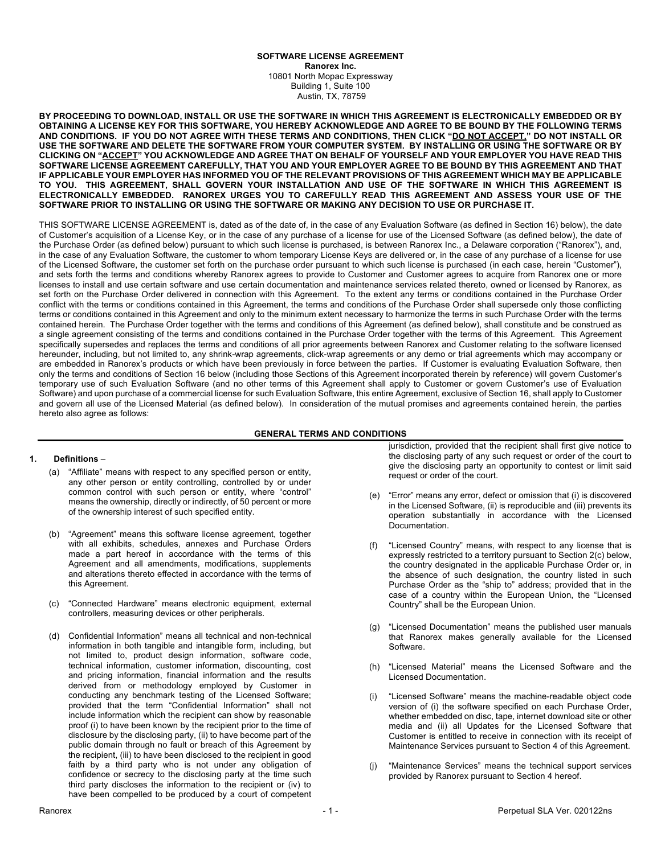#### **SOFTWARE LICENSE AGREEMENT Ranorex Inc.** 10801 North Mopac Expressway Building 1, Suite 100 Austin, TX, 78759

**BY PROCEEDING TO DOWNLOAD, INSTALL OR USE THE SOFTWARE IN WHICH THIS AGREEMENT IS ELECTRONICALLY EMBEDDED OR BY OBTAINING A LICENSE KEY FOR THIS SOFTWARE, YOU HEREBY ACKNOWLEDGE AND AGREE TO BE BOUND BY THE FOLLOWING TERMS AND CONDITIONS. IF YOU DO NOT AGREE WITH THESE TERMS AND CONDITIONS, THEN CLICK "DO NOT ACCEPT," DO NOT INSTALL OR USE THE SOFTWARE AND DELETE THE SOFTWARE FROM YOUR COMPUTER SYSTEM. BY INSTALLING OR USING THE SOFTWARE OR BY CLICKING ON "ACCEPT" YOU ACKNOWLEDGE AND AGREE THAT ON BEHALF OF YOURSELF AND YOUR EMPLOYER YOU HAVE READ THIS SOFTWARE LICENSE AGREEMENT CAREFULLY, THAT YOU AND YOUR EMPLOYER AGREE TO BE BOUND BY THIS AGREEMENT AND THAT IF APPLICABLE YOUR EMPLOYER HAS INFORMED YOU OF THE RELEVANT PROVISIONS OF THIS AGREEMENT WHICH MAY BE APPLICABLE TO YOU. THIS AGREEMENT, SHALL GOVERN YOUR INSTALLATION AND USE OF THE SOFTWARE IN WHICH THIS AGREEMENT IS ELECTRONICALLY EMBEDDED. RANOREX URGES YOU TO CAREFULLY READ THIS AGREEMENT AND ASSESS YOUR USE OF THE SOFTWARE PRIOR TO INSTALLING OR USING THE SOFTWARE OR MAKING ANY DECISION TO USE OR PURCHASE IT.**

THIS SOFTWARE LICENSE AGREEMENT is, dated as of the date of, in the case of any Evaluation Software (as defined in Section 16) below), the date of Customer's acquisition of a License Key, or in the case of any purchase of a license for use of the Licensed Software (as defined below), the date of the Purchase Order (as defined below) pursuant to which such license is purchased, is between Ranorex Inc., a Delaware corporation ("Ranorex"), and, in the case of any Evaluation Software, the customer to whom temporary License Keys are delivered or, in the case of any purchase of a license for use of the Licensed Software, the customer set forth on the purchase order pursuant to which such license is purchased (in each case, herein "Customer"), and sets forth the terms and conditions whereby Ranorex agrees to provide to Customer and Customer agrees to acquire from Ranorex one or more licenses to install and use certain software and use certain documentation and maintenance services related thereto, owned or licensed by Ranorex, as set forth on the Purchase Order delivered in connection with this Agreement. To the extent any terms or conditions contained in the Purchase Order conflict with the terms or conditions contained in this Agreement, the terms and conditions of the Purchase Order shall supersede only those conflicting terms or conditions contained in this Agreement and only to the minimum extent necessary to harmonize the terms in such Purchase Order with the terms contained herein. The Purchase Order together with the terms and conditions of this Agreement (as defined below), shall constitute and be construed as a single agreement consisting of the terms and conditions contained in the Purchase Order together with the terms of this Agreement. This Agreement specifically supersedes and replaces the terms and conditions of all prior agreements between Ranorex and Customer relating to the software licensed hereunder, including, but not limited to, any shrink-wrap agreements, click-wrap agreements or any demo or trial agreements which may accompany or are embedded in Ranorex's products or which have been previously in force between the parties. If Customer is evaluating Evaluation Software, then only the terms and conditions of Section 16 below (including those Sections of this Agreement incorporated therein by reference) will govern Customer's temporary use of such Evaluation Software (and no other terms of this Agreement shall apply to Customer or govern Customer's use of Evaluation Software) and upon purchase of a commercial license for such Evaluation Software, this entire Agreement, exclusive of Section 16, shall apply to Customer and govern all use of the Licensed Material (as defined below). In consideration of the mutual promises and agreements contained herein, the parties hereto also agree as follows:

### **GENERAL TERMS AND CONDITIONS**

### **1. Definitions** –

- (a) "Affiliate" means with respect to any specified person or entity, any other person or entity controlling, controlled by or under common control with such person or entity, where "control" means the ownership, directly or indirectly, of 50 percent or more of the ownership interest of such specified entity.
- (b) "Agreement" means this software license agreement, together with all exhibits, schedules, annexes and Purchase Orders made a part hereof in accordance with the terms of this Agreement and all amendments, modifications, supplements and alterations thereto effected in accordance with the terms of this Agreement.
- (c) "Connected Hardware" means electronic equipment, external controllers, measuring devices or other peripherals.
- (d) Confidential Information" means all technical and non-technical information in both tangible and intangible form, including, but not limited to, product design information, software code, technical information, customer information, discounting, cost and pricing information, financial information and the results derived from or methodology employed by Customer in conducting any benchmark testing of the Licensed Software; provided that the term "Confidential Information" shall not include information which the recipient can show by reasonable proof (i) to have been known by the recipient prior to the time of disclosure by the disclosing party, (ii) to have become part of the public domain through no fault or breach of this Agreement by the recipient, (iii) to have been disclosed to the recipient in good faith by a third party who is not under any obligation of confidence or secrecy to the disclosing party at the time such third party discloses the information to the recipient or (iv) to have been compelled to be produced by a court of competent

jurisdiction, provided that the recipient shall first give notice to the disclosing party of any such request or order of the court to give the disclosing party an opportunity to contest or limit said request or order of the court.

- (e) "Error" means any error, defect or omission that (i) is discovered in the Licensed Software, (ii) is reproducible and (iii) prevents its operation substantially in accordance with the Licensed Documentation.
- (f) "Licensed Country" means, with respect to any license that is expressly restricted to a territory pursuant to Section 2(c) below, the country designated in the applicable Purchase Order or, in the absence of such designation, the country listed in such Purchase Order as the "ship to" address; provided that in the case of a country within the European Union, the "Licensed Country" shall be the European Union.
- (g) "Licensed Documentation" means the published user manuals that Ranorex makes generally available for the Licensed Software.
- (h) "Licensed Material" means the Licensed Software and the Licensed Documentation.
- "Licensed Software" means the machine-readable object code version of (i) the software specified on each Purchase Order, whether embedded on disc, tape, internet download site or other media and (ii) all Updates for the Licensed Software that Customer is entitled to receive in connection with its receipt of Maintenance Services pursuant to Section 4 of this Agreement.
- (j) "Maintenance Services" means the technical support services provided by Ranorex pursuant to Section 4 hereof.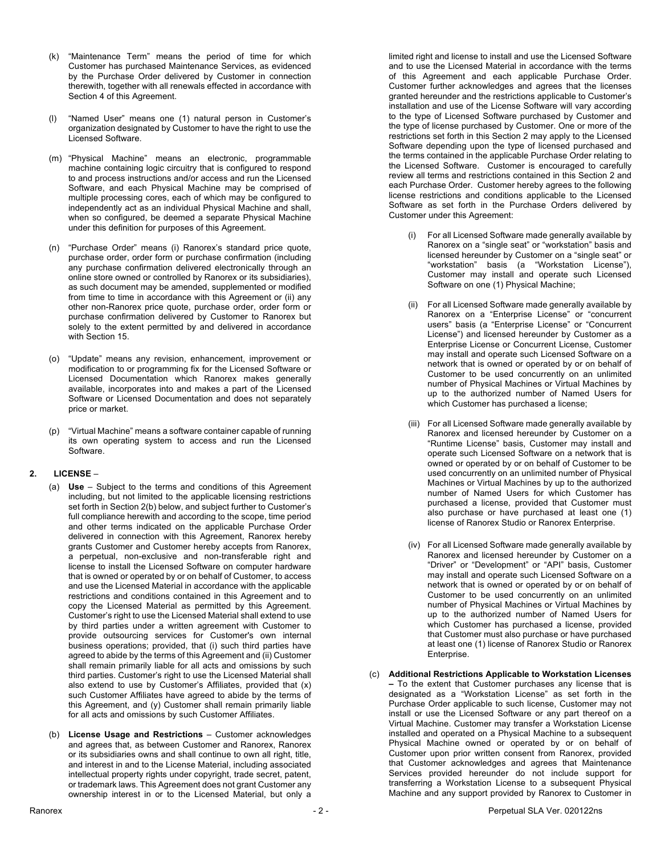- (k) "Maintenance Term" means the period of time for which Customer has purchased Maintenance Services, as evidenced by the Purchase Order delivered by Customer in connection therewith, together with all renewals effected in accordance with Section 4 of this Agreement.
- (l) "Named User" means one (1) natural person in Customer's organization designated by Customer to have the right to use the Licensed Software.
- (m) "Physical Machine" means an electronic, programmable machine containing logic circuitry that is configured to respond to and process instructions and/or access and run the Licensed Software, and each Physical Machine may be comprised of multiple processing cores, each of which may be configured to independently act as an individual Physical Machine and shall, when so configured, be deemed a separate Physical Machine under this definition for purposes of this Agreement.
- (n) "Purchase Order" means (i) Ranorex's standard price quote, purchase order, order form or purchase confirmation (including any purchase confirmation delivered electronically through an online store owned or controlled by Ranorex or its subsidiaries), as such document may be amended, supplemented or modified from time to time in accordance with this Agreement or (ii) any other non-Ranorex price quote, purchase order, order form or purchase confirmation delivered by Customer to Ranorex but solely to the extent permitted by and delivered in accordance with Section 15.
- (o) "Update" means any revision, enhancement, improvement or modification to or programming fix for the Licensed Software or Licensed Documentation which Ranorex makes generally available, incorporates into and makes a part of the Licensed Software or Licensed Documentation and does not separately price or market.
- (p) "Virtual Machine" means a software container capable of running its own operating system to access and run the Licensed Software.

### **2. LICENSE** –

- (a) **Use** Subject to the terms and conditions of this Agreement including, but not limited to the applicable licensing restrictions set forth in Section 2(b) below, and subject further to Customer's full compliance herewith and according to the scope, time period and other terms indicated on the applicable Purchase Order delivered in connection with this Agreement, Ranorex hereby grants Customer and Customer hereby accepts from Ranorex, a perpetual, non-exclusive and non-transferable right and license to install the Licensed Software on computer hardware that is owned or operated by or on behalf of Customer, to access and use the Licensed Material in accordance with the applicable restrictions and conditions contained in this Agreement and to copy the Licensed Material as permitted by this Agreement. Customer's right to use the Licensed Material shall extend to use by third parties under a written agreement with Customer to provide outsourcing services for Customer's own internal business operations; provided, that (i) such third parties have agreed to abide by the terms of this Agreement and (ii) Customer shall remain primarily liable for all acts and omissions by such third parties. Customer's right to use the Licensed Material shall also extend to use by Customer's Affiliates, provided that (x) such Customer Affiliates have agreed to abide by the terms of this Agreement, and (y) Customer shall remain primarily liable for all acts and omissions by such Customer Affiliates.
- (b) **License Usage and Restrictions** Customer acknowledges and agrees that, as between Customer and Ranorex, Ranorex or its subsidiaries owns and shall continue to own all right, title, and interest in and to the License Material, including associated intellectual property rights under copyright, trade secret, patent, or trademark laws. This Agreement does not grant Customer any ownership interest in or to the Licensed Material, but only a

limited right and license to install and use the Licensed Software and to use the Licensed Material in accordance with the terms of this Agreement and each applicable Purchase Order. Customer further acknowledges and agrees that the licenses granted hereunder and the restrictions applicable to Customer's installation and use of the License Software will vary according to the type of Licensed Software purchased by Customer and the type of license purchased by Customer. One or more of the restrictions set forth in this Section 2 may apply to the Licensed Software depending upon the type of licensed purchased and the terms contained in the applicable Purchase Order relating to the Licensed Software. Customer is encouraged to carefully review all terms and restrictions contained in this Section 2 and each Purchase Order. Customer hereby agrees to the following license restrictions and conditions applicable to the Licensed Software as set forth in the Purchase Orders delivered by Customer under this Agreement:

- For all Licensed Software made generally available by Ranorex on a "single seat" or "workstation" basis and licensed hereunder by Customer on a "single seat" or "workstation" basis (a "Workstation License"), Customer may install and operate such Licensed Software on one (1) Physical Machine;
- (ii) For all Licensed Software made generally available by Ranorex on a "Enterprise License" or "concurrent users" basis (a "Enterprise License" or "Concurrent License") and licensed hereunder by Customer as a Enterprise License or Concurrent License, Customer may install and operate such Licensed Software on a network that is owned or operated by or on behalf of Customer to be used concurrently on an unlimited number of Physical Machines or Virtual Machines by up to the authorized number of Named Users for which Customer has purchased a license;
- (iii) For all Licensed Software made generally available by Ranorex and licensed hereunder by Customer on a "Runtime License" basis, Customer may install and operate such Licensed Software on a network that is owned or operated by or on behalf of Customer to be used concurrently on an unlimited number of Physical Machines or Virtual Machines by up to the authorized number of Named Users for which Customer has purchased a license, provided that Customer must also purchase or have purchased at least one (1) license of Ranorex Studio or Ranorex Enterprise.
- (iv) For all Licensed Software made generally available by Ranorex and licensed hereunder by Customer on a "Driver" or "Development" or "API" basis, Customer may install and operate such Licensed Software on a network that is owned or operated by or on behalf of Customer to be used concurrently on an unlimited number of Physical Machines or Virtual Machines by up to the authorized number of Named Users for which Customer has purchased a license, provided that Customer must also purchase or have purchased at least one (1) license of Ranorex Studio or Ranorex Enterprise.
- (c) **Additional Restrictions Applicable to Workstation Licenses –** To the extent that Customer purchases any license that is designated as a "Workstation License" as set forth in the Purchase Order applicable to such license, Customer may not install or use the Licensed Software or any part thereof on a Virtual Machine. Customer may transfer a Workstation License installed and operated on a Physical Machine to a subsequent Physical Machine owned or operated by or on behalf of Customer upon prior written consent from Ranorex, provided that Customer acknowledges and agrees that Maintenance Services provided hereunder do not include support for transferring a Workstation License to a subsequent Physical Machine and any support provided by Ranorex to Customer in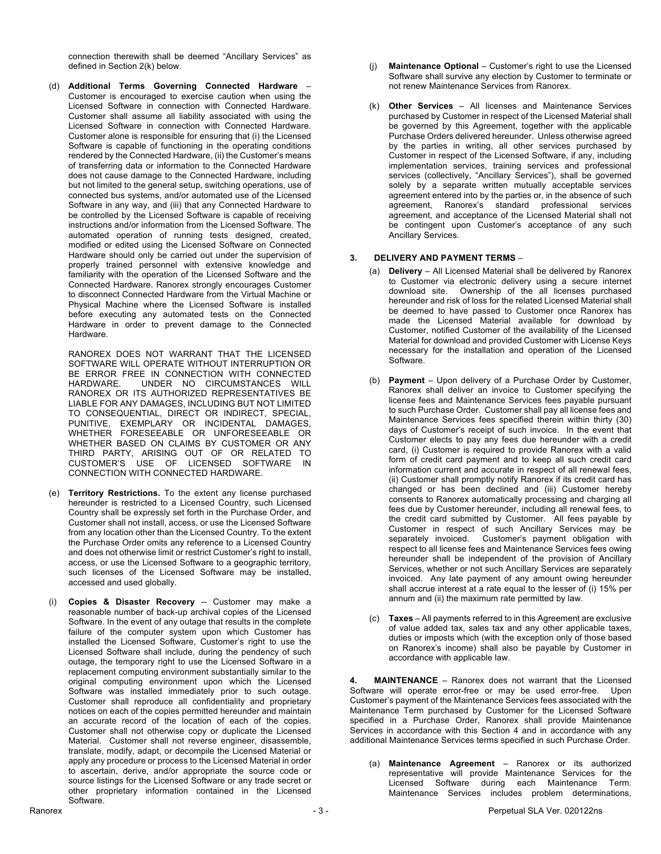connection therewith shall be deemed "Ancillary Services" as defined in Section 2(k) below.

(d) **Additional Terms Governing Connected Hardware** – Customer is encouraged to exercise caution when using the Licensed Software in connection with Connected Hardware. Customer shall assume all liability associated with using the Licensed Software in connection with Connected Hardware. Customer alone is responsible for ensuring that (i) the Licensed Software is capable of functioning in the operating conditions rendered by the Connected Hardware, (ii) the Customer's means of transferring data or information to the Connected Hardware does not cause damage to the Connected Hardware, including but not limited to the general setup, switching operations, use of connected bus systems, and/or automated use of the Licensed Software in any way, and (iii) that any Connected Hardware to be controlled by the Licensed Software is capable of receiving instructions and/or information from the Licensed Software. The automated operation of running tests designed, created, modified or edited using the Licensed Software on Connected Hardware should only be carried out under the supervision of properly trained personnel with extensive knowledge and familiarity with the operation of the Licensed Software and the Connected Hardware. Ranorex strongly encourages Customer to disconnect Connected Hardware from the Virtual Machine or Physical Machine where the Licensed Software is installed before executing any automated tests on the Connected Hardware in order to prevent damage to the Connected Hardware.

RANOREX DOES NOT WARRANT THAT THE LICENSED SOFTWARE WILL OPERATE WITHOUT INTERRUPTION OR BE ERROR FREE IN CONNECTION WITH CONNECTED<br>HARDWARE LINDER NO CIRCUMSTANCES WILL UNDER NO CIRCUMSTANCES WILL RANOREX OR ITS AUTHORIZED REPRESENTATIVES BE LIABLE FOR ANY DAMAGES, INCLUDING BUT NOT LIMITED TO CONSEQUENTIAL, DIRECT OR INDIRECT, SPECIAL, PUNITIVE, EXEMPLARY OR INCIDENTAL DAMAGES, WHETHER FORESEEABLE OR UNFORESEEABLE OR WHETHER BASED ON CLAIMS BY CUSTOMER OR ANY THIRD PARTY, ARISING OUT OF OR RELATED TO CUSTOMER'S USE OF LICENSED SOFTWARE IN CONNECTION WITH CONNECTED HARDWARE.

- (e) **Territory Restrictions.** To the extent any license purchased hereunder is restricted to a Licensed Country, such Licensed Country shall be expressly set forth in the Purchase Order, and Customer shall not install, access, or use the Licensed Software from any location other than the Licensed Country. To the extent the Purchase Order omits any reference to a Licensed Country and does not otherwise limit or restrict Customer's right to install, access, or use the Licensed Software to a geographic territory, such licenses of the Licensed Software may be installed, accessed and used globally.
- (i) **Copies & Disaster Recovery** -- Customer may make a reasonable number of back-up archival copies of the Licensed Software. In the event of any outage that results in the complete failure of the computer system upon which Customer has installed the Licensed Software, Customer's right to use the Licensed Software shall include, during the pendency of such outage, the temporary right to use the Licensed Software in a replacement computing environment substantially similar to the original computing environment upon which the Licensed Software was installed immediately prior to such outage. Customer shall reproduce all confidentiality and proprietary notices on each of the copies permitted hereunder and maintain an accurate record of the location of each of the copies. Customer shall not otherwise copy or duplicate the Licensed Material. Customer shall not reverse engineer, disassemble, translate, modify, adapt, or decompile the Licensed Material or apply any procedure or process to the Licensed Material in order to ascertain, derive, and/or appropriate the source code or source listings for the Licensed Software or any trade secret or other proprietary information contained in the Licensed Software.
- (j) **Maintenance Optional** Customer's right to use the Licensed Software shall survive any election by Customer to terminate or not renew Maintenance Services from Ranorex.
- (k) **Other Services**  All licenses and Maintenance Services purchased by Customer in respect of the Licensed Material shall be governed by this Agreement, together with the applicable Purchase Orders delivered hereunder. Unless otherwise agreed by the parties in writing, all other services purchased by Customer in respect of the Licensed Software, if any, including implementation services, training services and professional services (collectively, "Ancillary Services"), shall be governed solely by a separate written mutually acceptable services agreement entered into by the parties or, in the absence of such agreement, Ranorex's standard professional services agreement, and acceptance of the Licensed Material shall not be contingent upon Customer's acceptance of any such Ancillary Services.

### **3. DELIVERY AND PAYMENT TERMS** –

- (a) **Delivery** All Licensed Material shall be delivered by Ranorex to Customer via electronic delivery using a secure internet download site. Ownership of the all licenses purchased hereunder and risk of loss for the related Licensed Material shall be deemed to have passed to Customer once Ranorex has made the Licensed Material available for download by Customer, notified Customer of the availability of the Licensed Material for download and provided Customer with License Keys necessary for the installation and operation of the Licensed Software.
- (b) **Payment** Upon delivery of a Purchase Order by Customer, Ranorex shall deliver an invoice to Customer specifying the license fees and Maintenance Services fees payable pursuant to such Purchase Order. Customer shall pay all license fees and Maintenance Services fees specified therein within thirty (30) days of Customer's receipt of such invoice. In the event that Customer elects to pay any fees due hereunder with a credit card, (i) Customer is required to provide Ranorex with a valid form of credit card payment and to keep all such credit card information current and accurate in respect of all renewal fees, (ii) Customer shall promptly notify Ranorex if its credit card has changed or has been declined and (iii) Customer hereby consents to Ranorex automatically processing and charging all fees due by Customer hereunder, including all renewal fees, to the credit card submitted by Customer. All fees payable by Customer in respect of such Ancillary Services may be separately invoiced. Customer's payment obligation with respect to all license fees and Maintenance Services fees owing hereunder shall be independent of the provision of Ancillary Services, whether or not such Ancillary Services are separately invoiced. Any late payment of any amount owing hereunder shall accrue interest at a rate equal to the lesser of (i) 15% per annum and (ii) the maximum rate permitted by law.
- (c) **Taxes** All payments referred to in this Agreement are exclusive of value added tax, sales tax and any other applicable taxes, duties or imposts which (with the exception only of those based on Ranorex's income) shall also be payable by Customer in accordance with applicable law.

**4. MAINTENANCE** – Ranorex does not warrant that the Licensed Software will operate error-free or may be used error-free. Upon Customer's payment of the Maintenance Services fees associated with the Maintenance Term purchased by Customer for the Licensed Software specified in a Purchase Order, Ranorex shall provide Maintenance Services in accordance with this Section 4 and in accordance with any additional Maintenance Services terms specified in such Purchase Order.

(a) **Maintenance Agreement** – Ranorex or its authorized representative will provide Maintenance Services for the Licensed Software during each Maintenance Term. Maintenance Services includes problem determinations,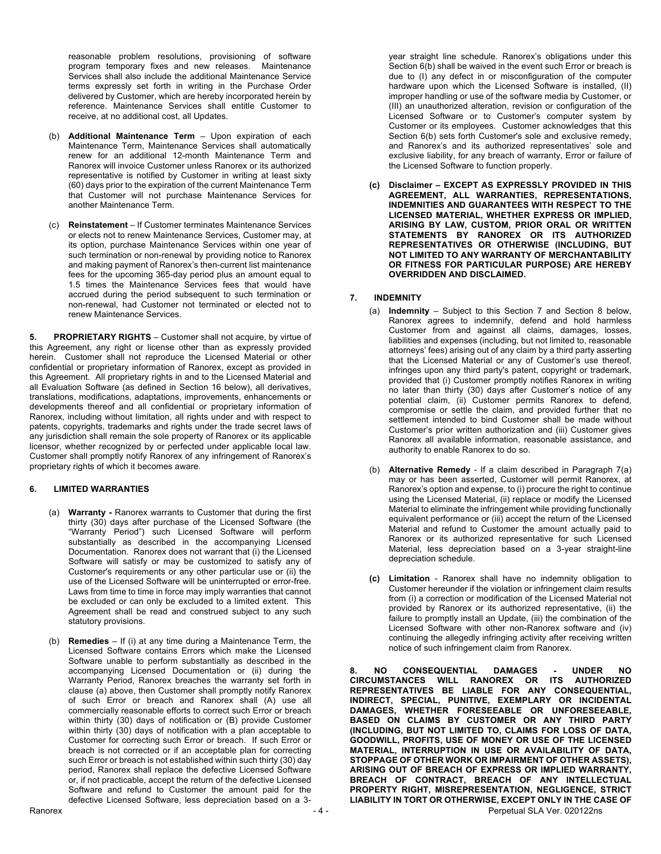reasonable problem resolutions, provisioning of software program temporary fixes and new releases. Maintenance Services shall also include the additional Maintenance Service terms expressly set forth in writing in the Purchase Order delivered by Customer, which are hereby incorporated herein by reference. Maintenance Services shall entitle Customer to receive, at no additional cost, all Updates.

- (b) **Additional Maintenance Term** Upon expiration of each Maintenance Term, Maintenance Services shall automatically renew for an additional 12-month Maintenance Term and Ranorex will invoice Customer unless Ranorex or its authorized representative is notified by Customer in writing at least sixty (60) days prior to the expiration of the current Maintenance Term that Customer will not purchase Maintenance Services for another Maintenance Term.
- (c) **Reinstatement** If Customer terminates Maintenance Services or elects not to renew Maintenance Services, Customer may, at its option, purchase Maintenance Services within one year of such termination or non-renewal by providing notice to Ranorex and making payment of Ranorex's then-current list maintenance fees for the upcoming 365-day period plus an amount equal to 1.5 times the Maintenance Services fees that would have accrued during the period subsequent to such termination or non-renewal, had Customer not terminated or elected not to renew Maintenance Services.

**5. PROPRIETARY RIGHTS** – Customer shall not acquire, by virtue of this Agreement, any right or license other than as expressly provided herein. Customer shall not reproduce the Licensed Material or other confidential or proprietary information of Ranorex, except as provided in this Agreement. All proprietary rights in and to the Licensed Material and all Evaluation Software (as defined in Section 16 below), all derivatives, translations, modifications, adaptations, improvements, enhancements or developments thereof and all confidential or proprietary information of Ranorex, including without limitation, all rights under and with respect to patents, copyrights, trademarks and rights under the trade secret laws of any jurisdiction shall remain the sole property of Ranorex or its applicable licensor, whether recognized by or perfected under applicable local law. Customer shall promptly notify Ranorex of any infringement of Ranorex's proprietary rights of which it becomes aware.

# **6. LIMITED WARRANTIES**

- (a) **Warranty -** Ranorex warrants to Customer that during the first thirty (30) days after purchase of the Licensed Software (the "Warranty Period") such Licensed Software will perform substantially as described in the accompanying Licensed Documentation. Ranorex does not warrant that (i) the Licensed Software will satisfy or may be customized to satisfy any of Customer's requirements or any other particular use or (ii) the use of the Licensed Software will be uninterrupted or error-free. Laws from time to time in force may imply warranties that cannot be excluded or can only be excluded to a limited extent. This Agreement shall be read and construed subject to any such statutory provisions.
- (b) **Remedies**  If (i) at any time during a Maintenance Term, the Licensed Software contains Errors which make the Licensed Software unable to perform substantially as described in the accompanying Licensed Documentation or (ii) during the Warranty Period, Ranorex breaches the warranty set forth in clause (a) above, then Customer shall promptly notify Ranorex of such Error or breach and Ranorex shall (A) use all commercially reasonable efforts to correct such Error or breach within thirty (30) days of notification or (B) provide Customer within thirty (30) days of notification with a plan acceptable to Customer for correcting such Error or breach. If such Error or breach is not corrected or if an acceptable plan for correcting such Error or breach is not established within such thirty (30) day period, Ranorex shall replace the defective Licensed Software or, if not practicable, accept the return of the defective Licensed Software and refund to Customer the amount paid for the defective Licensed Software, less depreciation based on a 3-

year straight line schedule. Ranorex's obligations under this Section 6(b) shall be waived in the event such Error or breach is due to (I) any defect in or misconfiguration of the computer hardware upon which the Licensed Software is installed, (II) improper handling or use of the software media by Customer, or (III) an unauthorized alteration, revision or configuration of the Licensed Software or to Customer's computer system by Customer or its employees. Customer acknowledges that this Section 6(b) sets forth Customer's sole and exclusive remedy, and Ranorex's and its authorized representatives' sole and exclusive liability, for any breach of warranty, Error or failure of the Licensed Software to function properly.

**(c) Disclaimer – EXCEPT AS EXPRESSLY PROVIDED IN THIS AGREEMENT, ALL WARRANTIES, REPRESENTATIONS, INDEMNITIES AND GUARANTEES WITH RESPECT TO THE LICENSED MATERIAL, WHETHER EXPRESS OR IMPLIED, ARISING BY LAW, CUSTOM, PRIOR ORAL OR WRITTEN STATEMENTS BY RANOREX OR ITS AUTHORIZED REPRESENTATIVES OR OTHERWISE (INCLUDING, BUT NOT LIMITED TO ANY WARRANTY OF MERCHANTABILITY OR FITNESS FOR PARTICULAR PURPOSE) ARE HEREBY OVERRIDDEN AND DISCLAIMED.**

### **7. INDEMNITY**

- (a) **Indemnity** Subject to this Section 7 and Section 8 below, Ranorex agrees to indemnify, defend and hold harmless Customer from and against all claims, damages, losses, liabilities and expenses (including, but not limited to, reasonable attorneys' fees) arising out of any claim by a third party asserting that the Licensed Material or any of Customer's use thereof, infringes upon any third party's patent, copyright or trademark, provided that (i) Customer promptly notifies Ranorex in writing no later than thirty (30) days after Customer's notice of any potential claim, (ii) Customer permits Ranorex to defend, compromise or settle the claim, and provided further that no settlement intended to bind Customer shall be made without Customer's prior written authorization and (iii) Customer gives Ranorex all available information, reasonable assistance, and authority to enable Ranorex to do so.
- (b) **Alternative Remedy** If a claim described in Paragraph 7(a) may or has been asserted, Customer will permit Ranorex, at Ranorex's option and expense, to (i) procure the right to continue using the Licensed Material, (ii) replace or modify the Licensed Material to eliminate the infringement while providing functionally equivalent performance or (iii) accept the return of the Licensed Material and refund to Customer the amount actually paid to Ranorex or its authorized representative for such Licensed Material, less depreciation based on a 3-year straight-line depreciation schedule.
- **(c) Limitation** Ranorex shall have no indemnity obligation to Customer hereunder if the violation or infringement claim results from (i) a correction or modification of the Licensed Material not provided by Ranorex or its authorized representative, (ii) the failure to promptly install an Update, (iii) the combination of the Licensed Software with other non-Ranorex software and (iv) continuing the allegedly infringing activity after receiving written notice of such infringement claim from Ranorex.

Ranorex **According to the COVID-2012** - 4 - Perpetual SLA Ver. 020122ns **8. NO CONSEQUENTIAL DAMAGES - UNDER NO CIRCUMSTANCES WILL RANOREX OR ITS AUTHORIZED REPRESENTATIVES BE LIABLE FOR ANY CONSEQUENTIAL, INDIRECT, SPECIAL, PUNITIVE, EXEMPLARY OR INCIDENTAL DAMAGES, WHETHER FORESEEABLE OR UNFORESEEABLE, BASED ON CLAIMS BY CUSTOMER OR ANY THIRD PARTY (INCLUDING, BUT NOT LIMITED TO, CLAIMS FOR LOSS OF DATA, GOODWILL, PROFITS, USE OF MONEY OR USE OF THE LICENSED MATERIAL, INTERRUPTION IN USE OR AVAILABILITY OF DATA, STOPPAGE OF OTHER WORK OR IMPAIRMENT OF OTHER ASSETS), ARISING OUT OF BREACH OF EXPRESS OR IMPLIED WARRANTY, BREACH OF CONTRACT, BREACH OF ANY INTELLECTUAL PROPERTY RIGHT, MISREPRESENTATION, NEGLIGENCE, STRICT LIABILITY IN TORT OR OTHERWISE, EXCEPT ONLY IN THE CASE OF**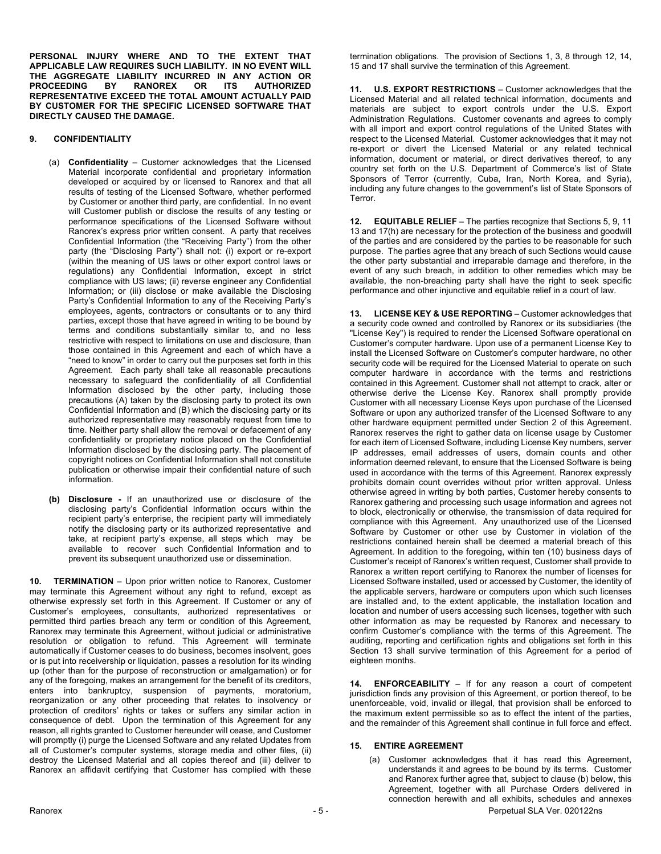**PERSONAL INJURY WHERE AND TO THE EXTENT THAT APPLICABLE LAW REQUIRES SUCH LIABILITY. IN NO EVENT WILL THE AGGREGATE LIABILITY INCURRED IN ANY ACTION OR PROCEEDING BY RANOREX OR ITS AUTHORIZED REPRESENTATIVE EXCEED THE TOTAL AMOUNT ACTUALLY PAID BY CUSTOMER FOR THE SPECIFIC LICENSED SOFTWARE THAT DIRECTLY CAUSED THE DAMAGE.**

# **9. CONFIDENTIALITY**

- (a) **Confidentiality** Customer acknowledges that the Licensed Material incorporate confidential and proprietary information developed or acquired by or licensed to Ranorex and that all results of testing of the Licensed Software, whether performed by Customer or another third party, are confidential. In no event will Customer publish or disclose the results of any testing or performance specifications of the Licensed Software without Ranorex's express prior written consent. A party that receives Confidential Information (the "Receiving Party") from the other party (the "Disclosing Party") shall not: (i) export or re-export (within the meaning of US laws or other export control laws or regulations) any Confidential Information, except in strict compliance with US laws; (ii) reverse engineer any Confidential Information; or (iii) disclose or make available the Disclosing Party's Confidential Information to any of the Receiving Party's employees, agents, contractors or consultants or to any third parties, except those that have agreed in writing to be bound by terms and conditions substantially similar to, and no less restrictive with respect to limitations on use and disclosure, than those contained in this Agreement and each of which have a "need to know" in order to carry out the purposes set forth in this Agreement. Each party shall take all reasonable precautions necessary to safeguard the confidentiality of all Confidential Information disclosed by the other party, including those precautions (A) taken by the disclosing party to protect its own Confidential Information and (B) which the disclosing party or its authorized representative may reasonably request from time to time. Neither party shall allow the removal or defacement of any confidentiality or proprietary notice placed on the Confidential Information disclosed by the disclosing party. The placement of copyright notices on Confidential Information shall not constitute publication or otherwise impair their confidential nature of such information.
- **(b) Disclosure -** If an unauthorized use or disclosure of the disclosing party's Confidential Information occurs within the recipient party's enterprise, the recipient party will immediately notify the disclosing party or its authorized representative and take, at recipient party's expense, all steps which may be available to recover such Confidential Information and to prevent its subsequent unauthorized use or dissemination.

**10. TERMINATION** – Upon prior written notice to Ranorex, Customer may terminate this Agreement without any right to refund, except as otherwise expressly set forth in this Agreement. If Customer or any of Customer's employees, consultants, authorized representatives or permitted third parties breach any term or condition of this Agreement, Ranorex may terminate this Agreement, without judicial or administrative resolution or obligation to refund. This Agreement will terminate automatically if Customer ceases to do business, becomes insolvent, goes or is put into receivership or liquidation, passes a resolution for its winding up (other than for the purpose of reconstruction or amalgamation) or for any of the foregoing, makes an arrangement for the benefit of its creditors, enters into bankruptcy, suspension of payments, moratorium, reorganization or any other proceeding that relates to insolvency or protection of creditors' rights or takes or suffers any similar action in consequence of debt. Upon the termination of this Agreement for any reason, all rights granted to Customer hereunder will cease, and Customer will promptly (i) purge the Licensed Software and any related Updates from all of Customer's computer systems, storage media and other files, (ii) destroy the Licensed Material and all copies thereof and (iii) deliver to Ranorex an affidavit certifying that Customer has complied with these

termination obligations. The provision of Sections 1, 3, 8 through 12, 14, 15 and 17 shall survive the termination of this Agreement.

**11. U.S. EXPORT RESTRICTIONS** – Customer acknowledges that the Licensed Material and all related technical information, documents and materials are subject to export controls under the U.S. Export Administration Regulations. Customer covenants and agrees to comply with all import and export control regulations of the United States with respect to the Licensed Material. Customer acknowledges that it may not re-export or divert the Licensed Material or any related technical information, document or material, or direct derivatives thereof, to any country set forth on the U.S. Department of Commerce's list of State Sponsors of Terror (currently, Cuba, Iran, North Korea, and Syria), including any future changes to the government's list of State Sponsors of Terror.

**12. EQUITABLE RELIEF** – The parties recognize that Sections 5, 9, 11 13 and 17(h) are necessary for the protection of the business and goodwill of the parties and are considered by the parties to be reasonable for such purpose. The parties agree that any breach of such Sections would cause the other party substantial and irreparable damage and therefore, in the event of any such breach, in addition to other remedies which may be available, the non-breaching party shall have the right to seek specific performance and other injunctive and equitable relief in a court of law.

**13. LICENSE KEY & USE REPORTING** – Customer acknowledges that a security code owned and controlled by Ranorex or its subsidiaries (the "License Key") is required to render the Licensed Software operational on Customer's computer hardware. Upon use of a permanent License Key to install the Licensed Software on Customer's computer hardware, no other security code will be required for the Licensed Material to operate on such computer hardware in accordance with the terms and restrictions contained in this Agreement. Customer shall not attempt to crack, alter or otherwise derive the License Key. Ranorex shall promptly provide Customer with all necessary License Keys upon purchase of the Licensed Software or upon any authorized transfer of the Licensed Software to any other hardware equipment permitted under Section 2 of this Agreement. Ranorex reserves the right to gather data on license usage by Customer for each item of Licensed Software, including License Key numbers, server IP addresses, email addresses of users, domain counts and other information deemed relevant, to ensure that the Licensed Software is being used in accordance with the terms of this Agreement. Ranorex expressly prohibits domain count overrides without prior written approval. Unless otherwise agreed in writing by both parties, Customer hereby consents to Ranorex gathering and processing such usage information and agrees not to block, electronically or otherwise, the transmission of data required for compliance with this Agreement. Any unauthorized use of the Licensed Software by Customer or other use by Customer in violation of the restrictions contained herein shall be deemed a material breach of this Agreement. In addition to the foregoing, within ten (10) business days of Customer's receipt of Ranorex's written request, Customer shall provide to Ranorex a written report certifying to Ranorex the number of licenses for Licensed Software installed, used or accessed by Customer, the identity of the applicable servers, hardware or computers upon which such licenses are installed and, to the extent applicable, the installation location and location and number of users accessing such licenses, together with such other information as may be requested by Ranorex and necessary to confirm Customer's compliance with the terms of this Agreement. The auditing, reporting and certification rights and obligations set forth in this Section 13 shall survive termination of this Agreement for a period of eighteen months.

**14. ENFORCEABILITY** – If for any reason a court of competent jurisdiction finds any provision of this Agreement, or portion thereof, to be unenforceable, void, invalid or illegal, that provision shall be enforced to the maximum extent permissible so as to effect the intent of the parties, and the remainder of this Agreement shall continue in full force and effect.

## **15. ENTIRE AGREEMENT**

Ranorex **Ranorex Ranorex 1988** - 5 - Perpetual SLA Ver. 020122ns (a) Customer acknowledges that it has read this Agreement, understands it and agrees to be bound by its terms. Customer and Ranorex further agree that, subject to clause (b) below, this Agreement, together with all Purchase Orders delivered in connection herewith and all exhibits, schedules and annexes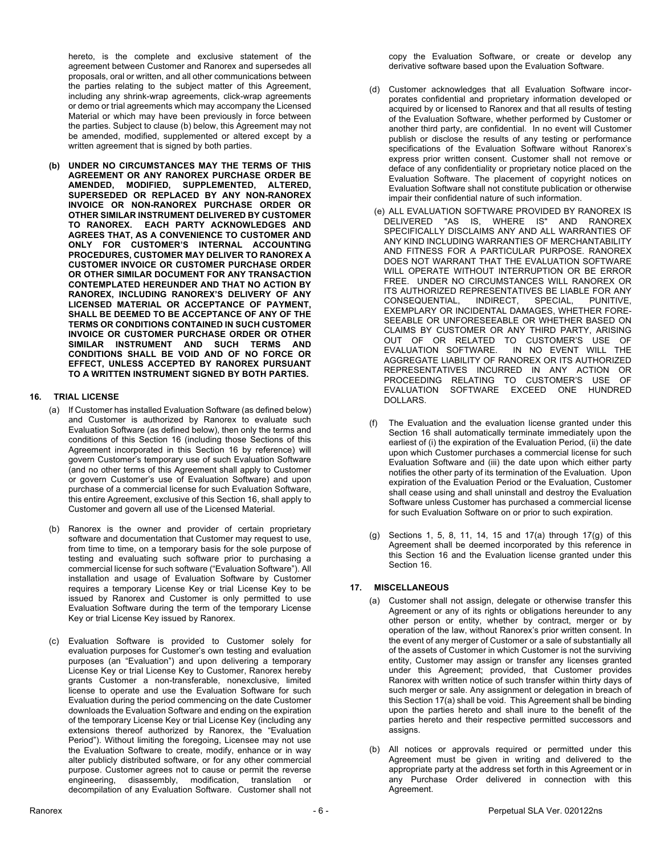hereto, is the complete and exclusive statement of the agreement between Customer and Ranorex and supersedes all proposals, oral or written, and all other communications between the parties relating to the subject matter of this Agreement, including any shrink-wrap agreements, click-wrap agreements or demo or trial agreements which may accompany the Licensed Material or which may have been previously in force between the parties. Subject to clause (b) below, this Agreement may not be amended, modified, supplemented or altered except by a written agreement that is signed by both parties.

**(b) UNDER NO CIRCUMSTANCES MAY THE TERMS OF THIS AGREEMENT OR ANY RANOREX PURCHASE ORDER BE AMENDED, MODIFIED, SUPPLEMENTED, ALTERED, SUPERSEDED OR REPLACED BY ANY NON-RANOREX INVOICE OR NON-RANOREX PURCHASE ORDER OR OTHER SIMILAR INSTRUMENT DELIVERED BY CUSTOMER TO RANOREX. EACH PARTY ACKNOWLEDGES AND AGREES THAT, AS A CONVENIENCE TO CUSTOMER AND ONLY FOR CUSTOMER'S INTERNAL ACCOUNTING PROCEDURES, CUSTOMER MAY DELIVER TO RANOREX A CUSTOMER INVOICE OR CUSTOMER PURCHASE ORDER OR OTHER SIMILAR DOCUMENT FOR ANY TRANSACTION CONTEMPLATED HEREUNDER AND THAT NO ACTION BY RANOREX, INCLUDING RANOREX'S DELIVERY OF ANY LICENSED MATERIAL OR ACCEPTANCE OF PAYMENT, SHALL BE DEEMED TO BE ACCEPTANCE OF ANY OF THE TERMS OR CONDITIONS CONTAINED IN SUCH CUSTOMER INVOICE OR CUSTOMER PURCHASE ORDER OR OTHER SIMILAR INSTRUMENT AND SUCH TERMS AND CONDITIONS SHALL BE VOID AND OF NO FORCE OR EFFECT, UNLESS ACCEPTED BY RANOREX PURSUANT TO A WRITTEN INSTRUMENT SIGNED BY BOTH PARTIES.**

# **16. TRIAL LICENSE**

- (a) If Customer has installed Evaluation Software (as defined below) and Customer is authorized by Ranorex to evaluate such Evaluation Software (as defined below), then only the terms and conditions of this Section 16 (including those Sections of this Agreement incorporated in this Section 16 by reference) will govern Customer's temporary use of such Evaluation Software (and no other terms of this Agreement shall apply to Customer or govern Customer's use of Evaluation Software) and upon purchase of a commercial license for such Evaluation Software, this entire Agreement, exclusive of this Section 16, shall apply to Customer and govern all use of the Licensed Material.
- (b) Ranorex is the owner and provider of certain proprietary software and documentation that Customer may request to use, from time to time, on a temporary basis for the sole purpose of testing and evaluating such software prior to purchasing a commercial license for such software ("Evaluation Software"). All installation and usage of Evaluation Software by Customer requires a temporary License Key or trial License Key to be issued by Ranorex and Customer is only permitted to use Evaluation Software during the term of the temporary License Key or trial License Key issued by Ranorex.
- (c) Evaluation Software is provided to Customer solely for evaluation purposes for Customer's own testing and evaluation purposes (an "Evaluation") and upon delivering a temporary License Key or trial License Key to Customer, Ranorex hereby grants Customer a non-transferable, nonexclusive, limited license to operate and use the Evaluation Software for such Evaluation during the period commencing on the date Customer downloads the Evaluation Software and ending on the expiration of the temporary License Key or trial License Key (including any extensions thereof authorized by Ranorex, the "Evaluation Period"). Without limiting the foregoing, Licensee may not use the Evaluation Software to create, modify, enhance or in way alter publicly distributed software, or for any other commercial purpose. Customer agrees not to cause or permit the reverse engineering, disassembly, modification, translation or decompilation of any Evaluation Software. Customer shall not

copy the Evaluation Software, or create or develop any derivative software based upon the Evaluation Software.

- (d) Customer acknowledges that all Evaluation Software incorporates confidential and proprietary information developed or acquired by or licensed to Ranorex and that all results of testing of the Evaluation Software, whether performed by Customer or another third party, are confidential. In no event will Customer publish or disclose the results of any testing or performance specifications of the Evaluation Software without Ranorex's express prior written consent. Customer shall not remove or deface of any confidentiality or proprietary notice placed on the Evaluation Software. The placement of copyright notices on Evaluation Software shall not constitute publication or otherwise impair their confidential nature of such information.
- (e) ALL EVALUATION SOFTWARE PROVIDED BY RANOREX IS DELIVERED "AS IS, WHERE IS" AND RANOREX SPECIFICALLY DISCLAIMS ANY AND ALL WARRANTIES OF ANY KIND INCLUDING WARRANTIES OF MERCHANTABILITY AND FITNESS FOR A PARTICULAR PURPOSE. RANOREX DOES NOT WARRANT THAT THE EVALUATION SOFTWARE WILL OPERATE WITHOUT INTERRUPTION OR BE ERROR FREE. UNDER NO CIRCUMSTANCES WILL RANOREX OR ITS AUTHORIZED REPRESENTATIVES BE LIABLE FOR ANY CONSEQUENTIAL, INDIRECT, SPECIAL, PUNITIVE, EXEMPLARY OR INCIDENTAL DAMAGES, WHETHER FORE-SEEABLE OR UNFORESEEABLE OR WHETHER BASED ON CLAIMS BY CUSTOMER OR ANY THIRD PARTY, ARISING OUT OF OR RELATED TO CUSTOMER'S USE OF EVALUATION SOFTWARE. IN NO EVENT WILL THE IN NO EVENT WILL THE AGGREGATE LIABILITY OF RANOREX OR ITS AUTHORIZED REPRESENTATIVES INCURRED IN ANY ACTION OR PROCEEDING RELATING TO CUSTOMER'S USE OF EVALUATION SOFTWARE EXCEED ONE HUNDRED DOLLARS.
- (f) The Evaluation and the evaluation license granted under this Section 16 shall automatically terminate immediately upon the earliest of (i) the expiration of the Evaluation Period, (ii) the date upon which Customer purchases a commercial license for such Evaluation Software and (iii) the date upon which either party notifies the other party of its termination of the Evaluation. Upon expiration of the Evaluation Period or the Evaluation, Customer shall cease using and shall uninstall and destroy the Evaluation Software unless Customer has purchased a commercial license for such Evaluation Software on or prior to such expiration.
- (g) Sections 1, 5, 8, 11, 14, 15 and 17(a) through 17(g) of this Agreement shall be deemed incorporated by this reference in this Section 16 and the Evaluation license granted under this Section 16.

# **17. MISCELLANEOUS**

- (a) Customer shall not assign, delegate or otherwise transfer this Agreement or any of its rights or obligations hereunder to any other person or entity, whether by contract, merger or by operation of the law, without Ranorex's prior written consent. In the event of any merger of Customer or a sale of substantially all of the assets of Customer in which Customer is not the surviving entity, Customer may assign or transfer any licenses granted under this Agreement; provided, that Customer provides Ranorex with written notice of such transfer within thirty days of such merger or sale. Any assignment or delegation in breach of this Section 17(a) shall be void. This Agreement shall be binding upon the parties hereto and shall inure to the benefit of the parties hereto and their respective permitted successors and assigns.
- (b) All notices or approvals required or permitted under this Agreement must be given in writing and delivered to the appropriate party at the address set forth in this Agreement or in any Purchase Order delivered in connection with this Agreement.